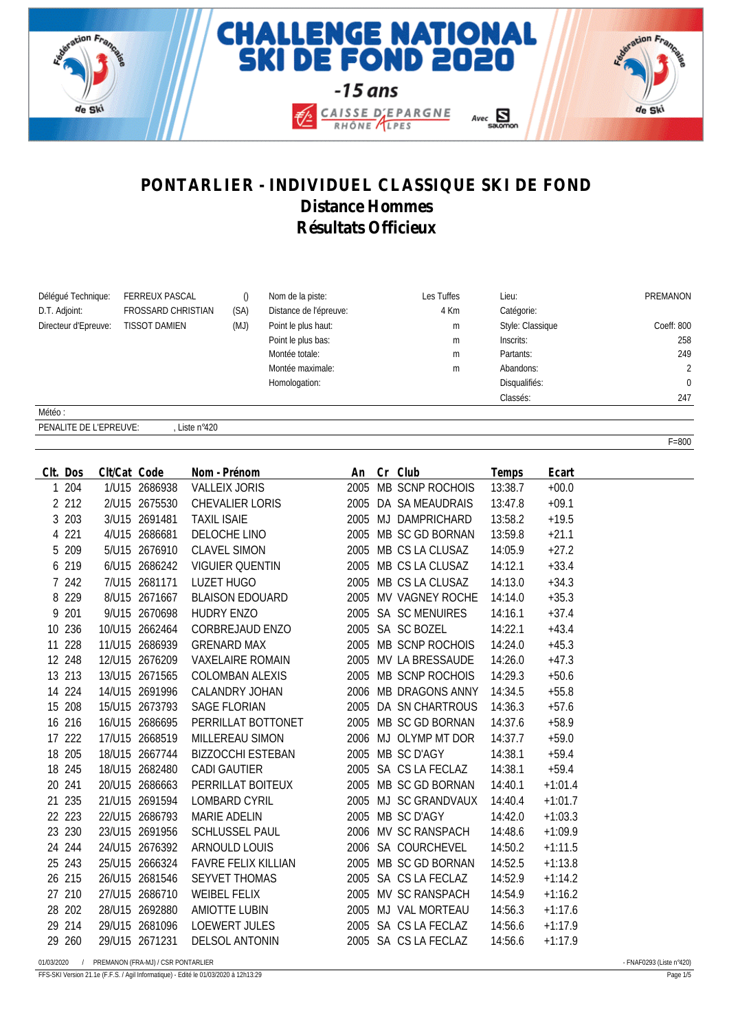





F=800

## **PONTARLIER - INDIVIDUEL CLASSIQUE SKI DE FOND Distance Hommes Résultats Officieux**

| Déléqué Technique:   | <b>FERREUX PASCAL</b>     |      | Nom de la piste:       | Les Tuffes | Lieu:            | PREMANON       |
|----------------------|---------------------------|------|------------------------|------------|------------------|----------------|
| D.T. Adjoint:        | <b>FROSSARD CHRISTIAN</b> | (SA) | Distance de l'épreuve: | 4 Km       | Catégorie:       |                |
| Directeur d'Epreuve: | <b>TISSOT DAMIEN</b>      | (MJ) | Point le plus haut:    | m          | Style: Classique | Coeff: 800     |
|                      |                           |      | Point le plus bas:     | m          | Inscrits:        | 258            |
|                      |                           |      | Montée totale:         | m          | Partants:        | 249            |
|                      |                           |      | Montée maximale:       | m          | Abandons:        | $\overline{2}$ |
|                      |                           |      | Homologation:          |            | Disqualifiés:    | $\Omega$       |
|                      |                           |      |                        |            | Classés:         | 247            |
| Météo:               |                           |      |                        |            |                  |                |

PENALITE DE L'EPREUVE: Liste n°420

| CIt. Dos     |         | Clt/Cat Code |                                    | Nom - Prénom<br>An Cr Club |  |                      | Temps   | Ecart     |                          |
|--------------|---------|--------------|------------------------------------|----------------------------|--|----------------------|---------|-----------|--------------------------|
|              | 1 204   |              | 1/U15 2686938                      | <b>VALLEIX JORIS</b>       |  | 2005 MB SCNP ROCHOIS | 13:38.7 | $+00.0$   |                          |
|              | 2 2 1 2 |              | 2/U15 2675530                      | CHEVALIER LORIS            |  | 2005 DA SA MEAUDRAIS | 13:47.8 | $+09.1$   |                          |
|              | 3 203   |              | 3/U15 2691481                      | <b>TAXIL ISAIE</b>         |  | 2005 MJ DAMPRICHARD  | 13:58.2 | $+19.5$   |                          |
|              | 4 2 2 1 |              | 4/U15 2686681                      | DELOCHE LINO               |  | 2005 MB SC GD BORNAN | 13:59.8 | $+21.1$   |                          |
|              | 5 209   |              | 5/U15 2676910                      | <b>CLAVEL SIMON</b>        |  | 2005 MB CS LA CLUSAZ | 14:05.9 | $+27.2$   |                          |
|              | 6 219   |              | 6/U15 2686242                      | <b>VIGUIER QUENTIN</b>     |  | 2005 MB CS LA CLUSAZ | 14:12.1 | $+33.4$   |                          |
|              | 7 242   |              | 7/U15 2681171                      | LUZET HUGO                 |  | 2005 MB CS LA CLUSAZ | 14:13.0 | $+34.3$   |                          |
|              | 8 2 2 9 |              | 8/U15 2671667                      | <b>BLAISON EDOUARD</b>     |  | 2005 MV VAGNEY ROCHE | 14:14.0 | $+35.3$   |                          |
|              | 9 201   |              | 9/U15 2670698                      | <b>HUDRY ENZO</b>          |  | 2005 SA SC MENUIRES  | 14:16.1 | $+37.4$   |                          |
| 10 236       |         |              | 10/U15 2662464                     | CORBREJAUD ENZO            |  | 2005 SA SC BOZEL     | 14:22.1 | $+43.4$   |                          |
| 11 228       |         |              | 11/U15 2686939                     | <b>GRENARD MAX</b>         |  | 2005 MB SCNP ROCHOIS | 14:24.0 | $+45.3$   |                          |
| 12 248       |         |              | 12/U15 2676209                     | <b>VAXELAIRE ROMAIN</b>    |  | 2005 MV LA BRESSAUDE | 14:26.0 | $+47.3$   |                          |
| 13 213       |         |              | 13/U15 2671565                     | COLOMBAN ALEXIS            |  | 2005 MB SCNP ROCHOIS | 14:29.3 | $+50.6$   |                          |
| 14 224       |         |              | 14/U15 2691996                     | CALANDRY JOHAN             |  | 2006 MB DRAGONS ANNY | 14:34.5 | $+55.8$   |                          |
| 15 208       |         |              | 15/U15 2673793                     | SAGE FLORIAN               |  | 2005 DA SN CHARTROUS | 14:36.3 | $+57.6$   |                          |
| 16 216       |         |              | 16/U15 2686695                     | PERRILLAT BOTTONET         |  | 2005 MB SC GD BORNAN | 14:37.6 | $+58.9$   |                          |
| 17 222       |         |              | 17/U15 2668519                     | MILLEREAU SIMON            |  | 2006 MJ OLYMP MT DOR | 14:37.7 | $+59.0$   |                          |
| 18 205       |         |              | 18/U15 2667744                     | <b>BIZZOCCHI ESTEBAN</b>   |  | 2005 MB SC D'AGY     | 14:38.1 | $+59.4$   |                          |
| 18 245       |         |              | 18/U15 2682480                     | CADI GAUTIER               |  | 2005 SA CS LA FECLAZ | 14:38.1 | $+59.4$   |                          |
| 20 241       |         |              | 20/U15 2686663                     | PERRILLAT BOITEUX          |  | 2005 MB SC GD BORNAN | 14:40.1 | $+1:01.4$ |                          |
| 21 235       |         |              | 21/U15 2691594                     | LOMBARD CYRIL              |  | 2005 MJ SC GRANDVAUX | 14:40.4 | $+1:01.7$ |                          |
| 22 223       |         |              | 22/U15 2686793                     | MARIE ADELIN               |  | 2005 MB SC D'AGY     | 14:42.0 | $+1:03.3$ |                          |
| 23 230       |         |              | 23/U15 2691956                     | SCHLUSSEL PAUL             |  | 2006 MV SC RANSPACH  | 14:48.6 | $+1:09.9$ |                          |
| 24 244       |         |              | 24/U15 2676392                     | ARNOULD LOUIS              |  | 2006 SA COURCHEVEL   | 14:50.2 | $+1:11.5$ |                          |
| 25 243       |         |              | 25/U15 2666324                     | <b>FAVRE FELIX KILLIAN</b> |  | 2005 MB SC GD BORNAN | 14:52.5 | $+1:13.8$ |                          |
| 26 215       |         |              | 26/U15 2681546                     | SEYVET THOMAS              |  | 2005 SA CS LA FECLAZ | 14:52.9 | $+1:14.2$ |                          |
| 27 210       |         |              | 27/U15 2686710                     | <b>WEIBEL FELIX</b>        |  | 2005 MV SC RANSPACH  | 14:54.9 | $+1:16.2$ |                          |
| 28 202       |         |              | 28/U15 2692880                     | <b>AMIOTTE LUBIN</b>       |  | 2005 MJ VAL MORTEAU  | 14:56.3 | $+1:17.6$ |                          |
| 29 214       |         |              | 29/U15 2681096                     | <b>LOEWERT JULES</b>       |  | 2005 SA CS LA FECLAZ | 14:56.6 | $+1:17.9$ |                          |
| 29 260       |         |              | 29/U15 2671231                     | DELSOL ANTONIN             |  | 2005 SA CS LA FECLAZ | 14:56.6 | $+1:17.9$ |                          |
| 01/03/2020 / |         |              | PREMANON (FRA-MJ) / CSR PONTARLIER |                            |  |                      |         |           | - FNAF0293 (Liste n°420) |

FFS-SKI Version 21.1e (F.F.S. / Agil Informatique) - Edité le 01/03/2020 à 12h13:29 Page 1/5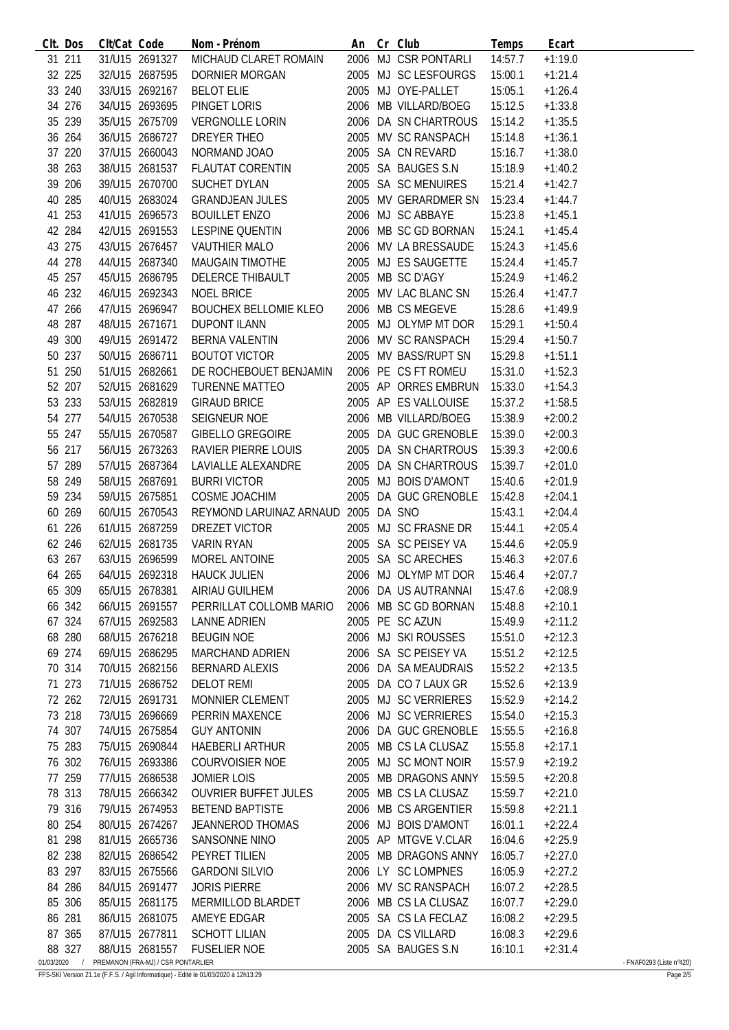|            | CIt. Dos | Clt/Cat Code |                                    | Nom - Prénom                        |  | An Cr Club                   | Temps   | Ecart     |                          |
|------------|----------|--------------|------------------------------------|-------------------------------------|--|------------------------------|---------|-----------|--------------------------|
|            | 31 211   |              | 31/U15 2691327                     | MICHAUD CLARET ROMAIN               |  | 2006 MJ CSR PONTARLI         | 14:57.7 | $+1:19.0$ |                          |
|            | 32 225   |              | 32/U15 2687595                     | DORNIER MORGAN                      |  | 2005 MJ SC LESFOURGS         | 15:00.1 | $+1:21.4$ |                          |
|            | 33 240   |              | 33/U15 2692167                     | <b>BELOT ELIE</b>                   |  | 2005 MJ OYE-PALLET           | 15:05.1 | $+1:26.4$ |                          |
|            | 34 276   |              | 34/U15 2693695                     | PINGET LORIS                        |  | 2006 MB VILLARD/BOEG         | 15:12.5 | $+1:33.8$ |                          |
|            | 35 239   |              | 35/U15 2675709                     | VERGNOLLE LORIN                     |  | 2006 DA SN CHARTROUS         | 15:14.2 | $+1:35.5$ |                          |
|            | 36 264   |              | 36/U15 2686727                     | DREYER THEO                         |  | 2005 MV SC RANSPACH          | 15:14.8 | $+1:36.1$ |                          |
|            | 37 220   |              | 37/U15 2660043                     | NORMAND JOAO                        |  | 2005 SA CN REVARD            | 15:16.7 | $+1:38.0$ |                          |
|            | 38 263   |              | 38/U15 2681537                     | FLAUTAT CORENTIN                    |  | 2005 SA BAUGES S.N           | 15:18.9 | $+1:40.2$ |                          |
|            | 39 206   |              | 39/U15 2670700                     | SUCHET DYLAN                        |  | 2005 SA SC MENUIRES          |         |           |                          |
|            |          |              |                                    |                                     |  |                              | 15:21.4 | $+1:42.7$ |                          |
|            | 40 285   |              | 40/U15 2683024                     | <b>GRANDJEAN JULES</b>              |  | 2005 MV GERARDMER SN         | 15:23.4 | $+1:44.7$ |                          |
|            | 41 253   |              | 41/U15 2696573                     | <b>BOUILLET ENZO</b>                |  | 2006 MJ SC ABBAYE            | 15:23.8 | $+1:45.1$ |                          |
|            | 42 284   |              | 42/U15 2691553                     | LESPINE QUENTIN                     |  | 2006 MB SC GD BORNAN         | 15:24.1 | $+1:45.4$ |                          |
|            | 43 275   |              | 43/U15 2676457                     | <b>VAUTHIER MALO</b>                |  | 2006 MV LA BRESSAUDE         | 15:24.3 | $+1:45.6$ |                          |
|            | 44 278   |              | 44/U15 2687340                     | MAUGAIN TIMOTHE                     |  | 2005 MJ ES SAUGETTE          | 15:24.4 | $+1:45.7$ |                          |
|            | 45 257   |              | 45/U15 2686795                     | DELERCE THIBAULT                    |  | 2005 MB SC D'AGY             | 15:24.9 | $+1:46.2$ |                          |
|            | 46 232   |              | 46/U15 2692343                     | <b>NOEL BRICE</b>                   |  | 2005 MV LAC BLANC SN         | 15:26.4 | $+1:47.7$ |                          |
|            | 47 266   |              | 47/U15 2696947                     | <b>BOUCHEX BELLOMIE KLEO</b>        |  | 2006 MB CS MEGEVE            | 15:28.6 | $+1:49.9$ |                          |
|            | 48 287   |              | 48/U15 2671671                     | <b>DUPONT ILANN</b>                 |  | 2005 MJ OLYMP MT DOR         | 15:29.1 | $+1:50.4$ |                          |
|            | 49 300   |              | 49/U15 2691472                     | BERNA VALENTIN                      |  | 2006 MV SC RANSPACH          | 15:29.4 | $+1:50.7$ |                          |
|            | 50 237   |              | 50/U15 2686711                     | <b>BOUTOT VICTOR</b>                |  | 2005 MV BASS/RUPT SN         | 15:29.8 | $+1:51.1$ |                          |
|            | 51 250   |              | 51/U15 2682661                     | DE ROCHEBOUET BENJAMIN              |  | 2006 PE CS FT ROMEU          | 15:31.0 | $+1:52.3$ |                          |
|            | 52 207   |              | 52/U15 2681629                     | <b>TURENNE MATTEO</b>               |  | 2005 AP ORRES EMBRUN         | 15:33.0 | $+1:54.3$ |                          |
|            |          |              |                                    |                                     |  | 2005 AP ES VALLOUISE         |         |           |                          |
|            | 53 233   |              | 53/U15 2682819                     | <b>GIRAUD BRICE</b>                 |  |                              | 15:37.2 | $+1:58.5$ |                          |
|            | 54 277   |              | 54/U15 2670538                     | SEIGNEUR NOE                        |  | 2006 MB VILLARD/BOEG         | 15:38.9 | $+2:00.2$ |                          |
|            | 55 247   |              | 55/U15 2670587                     | <b>GIBELLO GREGOIRE</b>             |  | 2005 DA GUC GRENOBLE         | 15:39.0 | $+2:00.3$ |                          |
|            | 56 217   |              | 56/U15 2673263                     | RAVIER PIERRE LOUIS                 |  | 2005 DA SN CHARTROUS         | 15:39.3 | $+2:00.6$ |                          |
|            | 57 289   |              | 57/U15 2687364                     | LAVIALLE ALEXANDRE                  |  | 2005 DA SN CHARTROUS         | 15:39.7 | $+2:01.0$ |                          |
|            | 58 249   |              | 58/U15 2687691                     | <b>BURRI VICTOR</b>                 |  | 2005 MJ BOIS D'AMONT         | 15:40.6 | $+2:01.9$ |                          |
|            | 59 234   |              | 59/U15 2675851                     | COSME JOACHIM                       |  | 2005 DA GUC GRENOBLE         | 15:42.8 | $+2:04.1$ |                          |
|            | 60 269   |              | 60/U15 2670543                     | REYMOND LARUINAZ ARNAUD 2005 DA SNO |  |                              | 15:43.1 | $+2:04.4$ |                          |
|            | 61 226   |              | 61/U15 2687259                     | DREZET VICTOR                       |  | 2005 MJ SC FRASNE DR         | 15:44.1 | $+2:05.4$ |                          |
|            | 62 246   |              | 62/U15 2681735                     | <b>VARIN RYAN</b>                   |  | 2005 SA SC PEISEY VA         | 15:44.6 | $+2:05.9$ |                          |
|            | 63 267   |              | 63/U15 2696599                     | MOREL ANTOINE                       |  | 2005 SA SC ARECHES           | 15:46.3 | $+2:07.6$ |                          |
|            | 64 265   |              | 64/U15 2692318                     | <b>HAUCK JULIEN</b>                 |  | 2006 MJ OLYMP MT DOR         | 15:46.4 | $+2:07.7$ |                          |
|            | 65 309   |              |                                    | 65/U15 2678381 AIRIAU GUILHEM       |  | 2006 DA US AUTRANNAI 15:47.6 |         | $+2:08.9$ |                          |
|            | 66 342   |              | 66/U15 2691557                     | PERRILLAT COLLOMB MARIO             |  | 2006 MB SC GD BORNAN         | 15:48.8 | $+2:10.1$ |                          |
|            |          |              |                                    |                                     |  | 2005 PE SC AZUN              |         |           |                          |
|            | 67 324   |              | 67/U15 2692583                     | <b>LANNE ADRIEN</b>                 |  |                              | 15:49.9 | $+2:11.2$ |                          |
|            | 68 280   |              | 68/U15 2676218                     | <b>BEUGIN NOE</b>                   |  | 2006 MJ SKI ROUSSES          | 15:51.0 | $+2:12.3$ |                          |
|            | 69 274   |              | 69/U15 2686295                     | <b>MARCHAND ADRIEN</b>              |  | 2006 SA SC PEISEY VA         | 15:51.2 | $+2:12.5$ |                          |
|            | 70 314   |              | 70/U15 2682156                     | BERNARD ALEXIS                      |  | 2006 DA SA MEAUDRAIS         | 15:52.2 | $+2:13.5$ |                          |
|            | 71 273   |              | 71/U15 2686752                     | <b>DELOT REMI</b>                   |  | 2005 DA CO 7 LAUX GR         | 15:52.6 | $+2:13.9$ |                          |
|            | 72 262   |              | 72/U15 2691731                     | MONNIER CLEMENT                     |  | 2005 MJ SC VERRIERES         | 15:52.9 | $+2:14.2$ |                          |
|            | 73 218   |              | 73/U15 2696669                     | PERRIN MAXENCE                      |  | 2006 MJ SC VERRIERES         | 15:54.0 | $+2:15.3$ |                          |
|            | 74 307   |              | 74/U15 2675854                     | <b>GUY ANTONIN</b>                  |  | 2006 DA GUC GRENOBLE         | 15:55.5 | $+2:16.8$ |                          |
|            | 75 283   |              | 75/U15 2690844                     | <b>HAEBERLI ARTHUR</b>              |  | 2005 MB CS LA CLUSAZ         | 15:55.8 | $+2:17.1$ |                          |
|            | 76 302   |              | 76/U15 2693386                     | COURVOISIER NOE                     |  | 2005 MJ SC MONT NOIR         | 15:57.9 | $+2:19.2$ |                          |
|            | 77 259   |              | 77/U15 2686538                     | JOMIER LOIS                         |  | 2005 MB DRAGONS ANNY         | 15:59.5 | $+2:20.8$ |                          |
|            | 78 313   |              | 78/U15 2666342                     | <b>OUVRIER BUFFET JULES</b>         |  | 2005 MB CS LA CLUSAZ         | 15:59.7 | $+2:21.0$ |                          |
|            | 79 316   |              | 79/U15 2674953                     | <b>BETEND BAPTISTE</b>              |  | 2006 MB CS ARGENTIER         | 15:59.8 | $+2:21.1$ |                          |
|            | 80 254   |              | 80/U15 2674267                     | <b>JEANNEROD THOMAS</b>             |  | 2006 MJ BOIS D'AMONT         | 16:01.1 | $+2:22.4$ |                          |
|            |          |              | 81/U15 2665736                     | SANSONNE NINO                       |  | 2005 AP MTGVE V.CLAR         | 16:04.6 |           |                          |
|            | 81 298   |              |                                    |                                     |  |                              |         | $+2:25.9$ |                          |
|            | 82 238   |              | 82/U15 2686542                     | PEYRET TILIEN                       |  | 2005 MB DRAGONS ANNY         | 16:05.7 | $+2:27.0$ |                          |
|            | 83 297   |              | 83/U15 2675566                     | <b>GARDONI SILVIO</b>               |  | 2006 LY SC LOMPNES           | 16:05.9 | $+2:27.2$ |                          |
|            | 84 286   |              | 84/U15 2691477                     | <b>JORIS PIERRE</b>                 |  | 2006 MV SC RANSPACH          | 16:07.2 | $+2:28.5$ |                          |
|            | 85 306   |              | 85/U15 2681175                     | MERMILLOD BLARDET                   |  | 2006 MB CS LA CLUSAZ         | 16:07.7 | $+2:29.0$ |                          |
|            | 86 281   |              | 86/U15 2681075                     | AMEYE EDGAR                         |  | 2005 SA CS LA FECLAZ         | 16:08.2 | $+2:29.5$ |                          |
|            | 87 365   |              | 87/U15 2677811                     | <b>SCHOTT LILIAN</b>                |  | 2005 DA CS VILLARD           | 16:08.3 | $+2:29.6$ |                          |
|            | 88 327   |              | 88/U15 2681557                     | <b>FUSELIER NOE</b>                 |  | 2005 SA BAUGES S.N           | 16:10.1 | $+2:31.4$ |                          |
| 01/03/2020 | $\prime$ |              | PREMANON (FRA-MJ) / CSR PONTARLIER |                                     |  |                              |         |           | - FNAF0293 (Liste n°420) |

FFS-SKI Version 21.1e (F.F.S. / Agil Informatique) - Edité le 01/03/2020 à 12h13:29 Page 2/5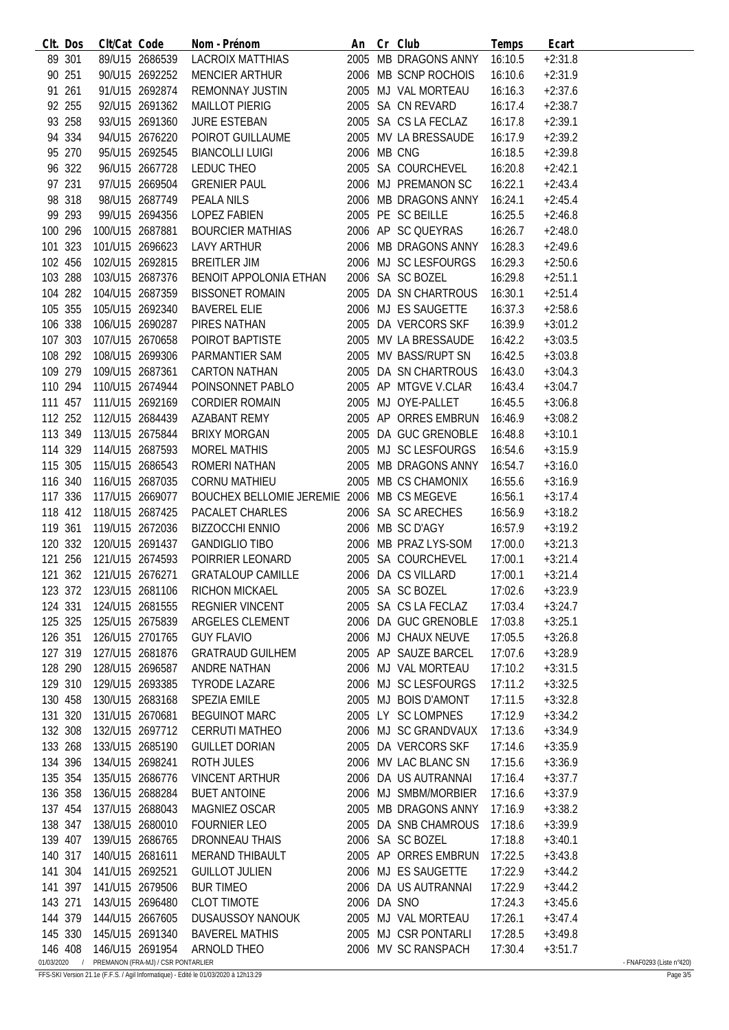|                       | CIt. Dos   | Clt/Cat Code            |                                    | Nom - Prénom                               |             | An Cr Club           | Temps   | Ecart     |                          |
|-----------------------|------------|-------------------------|------------------------------------|--------------------------------------------|-------------|----------------------|---------|-----------|--------------------------|
|                       | 89 301     |                         | 89/U15 2686539                     | LACROIX MATTHIAS                           |             | 2005 MB DRAGONS ANNY | 16:10.5 | $+2:31.8$ |                          |
|                       | 90 251     |                         | 90/U15 2692252                     | <b>MENCIER ARTHUR</b>                      |             | 2006 MB SCNP ROCHOIS | 16:10.6 | $+2:31.9$ |                          |
|                       | 91 261     |                         | 91/U15 2692874                     | <b>REMONNAY JUSTIN</b>                     |             | 2005 MJ VAL MORTEAU  | 16:16.3 | $+2:37.6$ |                          |
|                       | 92 255     |                         | 92/U15 2691362                     | <b>MAILLOT PIERIG</b>                      |             | 2005 SA CN REVARD    | 16:17.4 | $+2:38.7$ |                          |
|                       | 93 258     |                         | 93/U15 2691360                     | <b>JURE ESTEBAN</b>                        |             | 2005 SA CS LA FECLAZ | 16:17.8 | $+2:39.1$ |                          |
|                       | 94 334     |                         | 94/U15 2676220                     | POIROT GUILLAUME                           |             | 2005 MV LA BRESSAUDE | 16:17.9 | $+2:39.2$ |                          |
|                       | 95 270     |                         | 95/U15 2692545                     | <b>BIANCOLLI LUIGI</b>                     | 2006 MB CNG |                      | 16:18.5 | $+2:39.8$ |                          |
|                       | 96 322     |                         | 96/U15 2667728                     | LEDUC THEO                                 |             | 2005 SA COURCHEVEL   | 16:20.8 | $+2:42.1$ |                          |
|                       | 97 231     |                         | 97/U15 2669504                     | <b>GRENIER PAUL</b>                        |             | 2006 MJ PREMANON SC  | 16:22.1 | $+2:43.4$ |                          |
|                       | 98 318     |                         | 98/U15 2687749                     | PEALA NILS                                 |             | 2006 MB DRAGONS ANNY | 16:24.1 | $+2:45.4$ |                          |
|                       | 99 293     |                         | 99/U15 2694356                     | <b>LOPEZ FABIEN</b>                        |             | 2005 PE SC BEILLE    | 16:25.5 | $+2:46.8$ |                          |
| 100 296               |            |                         | 100/U15 2687881                    | BOURCIER MATHIAS                           |             | 2006 AP SC QUEYRAS   | 16:26.7 | $+2:48.0$ |                          |
| 101 323               |            |                         | 101/U15 2696623                    | LAVY ARTHUR                                |             | 2006 MB DRAGONS ANNY | 16:28.3 | $+2:49.6$ |                          |
| 102 456               |            |                         | 102/U15 2692815                    | <b>BREITLER JIM</b>                        |             | 2006 MJ SC LESFOURGS | 16:29.3 | $+2:50.6$ |                          |
| 103 288               |            |                         | 103/U15 2687376                    | BENOIT APPOLONIA ETHAN                     |             | 2006 SA SC BOZEL     | 16:29.8 | $+2:51.1$ |                          |
| 104 282               |            |                         | 104/U15 2687359                    | <b>BISSONET ROMAIN</b>                     |             | 2005 DA SN CHARTROUS | 16:30.1 | $+2:51.4$ |                          |
| 105 355               |            |                         | 105/U15 2692340                    | <b>BAVEREL ELIE</b>                        |             | 2006 MJ ES SAUGETTE  | 16:37.3 | $+2:58.6$ |                          |
| 106 338               |            |                         | 106/U15 2690287                    | PIRES NATHAN                               |             | 2005 DA VERCORS SKF  | 16:39.9 | $+3:01.2$ |                          |
| 107 303               |            |                         | 107/U15 2670658                    |                                            |             |                      |         |           |                          |
|                       |            |                         |                                    | POIROT BAPTISTE                            |             | 2005 MV LA BRESSAUDE | 16:42.2 | $+3:03.5$ |                          |
| 108 292               |            | 108/U15 2699306         |                                    | PARMANTIER SAM                             |             | 2005 MV BASS/RUPT SN | 16:42.5 | $+3:03.8$ |                          |
| 109 279               |            |                         | 109/U15 2687361                    | CARTON NATHAN                              |             | 2005 DA SN CHARTROUS | 16:43.0 | $+3:04.3$ |                          |
| 110 294               |            |                         | 110/U15 2674944                    | POINSONNET PABLO                           |             | 2005 AP MTGVE V.CLAR | 16:43.4 | $+3:04.7$ |                          |
| 111 457               |            |                         | 111/U15 2692169                    | <b>CORDIER ROMAIN</b>                      |             | 2005 MJ OYE-PALLET   | 16:45.5 | $+3:06.8$ |                          |
|                       | 112 252    |                         | 112/U15 2684439                    | AZABANT REMY                               |             | 2005 AP ORRES EMBRUN | 16:46.9 | $+3:08.2$ |                          |
| 113 349               |            | 113/U15 2675844         |                                    | <b>BRIXY MORGAN</b>                        |             | 2005 DA GUC GRENOBLE | 16:48.8 | $+3:10.1$ |                          |
| 114 329               |            | 114/U15 2687593         |                                    | <b>MOREL MATHIS</b>                        |             | 2005 MJ SC LESFOURGS | 16:54.6 | $+3:15.9$ |                          |
| 115 305               |            | 115/U15 2686543         |                                    | ROMERI NATHAN                              |             | 2005 MB DRAGONS ANNY | 16:54.7 | $+3:16.0$ |                          |
| 116 340               |            |                         | 116/U15 2687035                    | <b>CORNU MATHIEU</b>                       |             | 2005 MB CS CHAMONIX  | 16:55.6 | $+3:16.9$ |                          |
| 117 336               |            |                         | 117/U15 2669077                    | BOUCHEX BELLOMIE JEREMIE 2006 MB CS MEGEVE |             |                      | 16:56.1 | $+3:17.4$ |                          |
|                       | 118 412    |                         | 118/U15 2687425                    | PACALET CHARLES                            |             | 2006 SA SC ARECHES   | 16:56.9 | $+3:18.2$ |                          |
| 119 361               |            |                         | 119/U15 2672036                    | <b>BIZZOCCHI ENNIO</b>                     |             | 2006 MB SC D'AGY     | 16:57.9 | $+3:19.2$ |                          |
|                       | 120 332    |                         | 120/U15 2691437                    | <b>GANDIGLIO TIBO</b>                      |             | 2006 MB PRAZ LYS-SOM | 17:00.0 | $+3:21.3$ |                          |
| 121 256               |            |                         | 121/U15 2674593                    | POIRRIER LEONARD                           |             | 2005 SA COURCHEVEL   | 17:00.1 | $+3:21.4$ |                          |
|                       |            |                         | 121 362 121/U15 2676271            | <b>GRATALOUP CAMILLE</b>                   |             | 2006 DA CS VILLARD   | 17:00.1 | $+3:21.4$ |                          |
|                       |            | 123 372 123/U15 2681106 |                                    | <b>RICHON MICKAEL</b>                      |             | 2005 SA SC BOZEL     | 17:02.6 | $+3:23.9$ |                          |
| 124 331               |            |                         | 124/U15 2681555                    | <b>REGNIER VINCENT</b>                     |             | 2005 SA CS LA FECLAZ | 17:03.4 | $+3:24.7$ |                          |
| 125 325               |            |                         | 125/U15 2675839                    | ARGELES CLEMENT                            |             | 2006 DA GUC GRENOBLE | 17:03.8 | $+3:25.1$ |                          |
| 126 351               |            |                         | 126/U15 2701765                    | <b>GUY FLAVIO</b>                          |             | 2006 MJ CHAUX NEUVE  | 17:05.5 | $+3:26.8$ |                          |
| 127 319               |            |                         | 127/U15 2681876                    | <b>GRATRAUD GUILHEM</b>                    |             | 2005 AP SAUZE BARCEL | 17:07.6 | $+3:28.9$ |                          |
|                       | 128 290    | 128/U15 2696587         |                                    | ANDRE NATHAN                               |             | 2006 MJ VAL MORTEAU  | 17:10.2 | $+3:31.5$ |                          |
| 129 310               |            | 129/U15 2693385         |                                    | <b>TYRODE LAZARE</b>                       |             | 2006 MJ SC LESFOURGS | 17:11.2 | $+3:32.5$ |                          |
| 130 458               |            | 130/U15 2683168         |                                    | <b>SPEZIA EMILE</b>                        |             | 2005 MJ BOIS D'AMONT | 17:11.5 | $+3:32.8$ |                          |
| 131 320               |            | 131/U15 2670681         |                                    | <b>BEGUINOT MARC</b>                       |             | 2005 LY SC LOMPNES   | 17:12.9 | $+3:34.2$ |                          |
| 132 308               |            |                         | 132/U15 2697712                    | <b>CERRUTI MATHEO</b>                      |             | 2006 MJ SC GRANDVAUX | 17:13.6 | $+3:34.9$ |                          |
| 133 268               |            |                         | 133/U15 2685190                    | <b>GUILLET DORIAN</b>                      |             | 2005 DA VERCORS SKF  | 17:14.6 | $+3:35.9$ |                          |
| 134 396               |            | 134/U15 2698241         |                                    | ROTH JULES                                 |             | 2006 MV LAC BLANC SN | 17:15.6 | $+3:36.9$ |                          |
| 135 354               |            |                         | 135/U15 2686776                    | <b>VINCENT ARTHUR</b>                      |             | 2006 DA US AUTRANNAI | 17:16.4 | $+3:37.7$ |                          |
| 136 358               |            | 136/U15 2688284         |                                    | <b>BUET ANTOINE</b>                        |             | 2006 MJ SMBM/MORBIER | 17:16.6 | $+3:37.9$ |                          |
| 137 454               |            | 137/U15 2688043         |                                    | MAGNIEZ OSCAR                              |             | 2005 MB DRAGONS ANNY | 17:16.9 | $+3:38.2$ |                          |
| 138 347               |            |                         | 138/U15 2680010                    | <b>FOURNIER LEO</b>                        |             | 2005 DA SNB CHAMROUS | 17:18.6 | $+3:39.9$ |                          |
| 139 407               |            |                         | 139/U15 2686765                    | DRONNEAU THAIS                             |             | 2006 SA SC BOZEL     | 17:18.8 | $+3:40.1$ |                          |
| 140 317               |            | 140/U15 2681611         |                                    | MERAND THIBAULT                            |             | 2005 AP ORRES EMBRUN | 17:22.5 | $+3:43.8$ |                          |
| 141                   | 304        | 141/U15 2692521         |                                    | <b>GUILLOT JULIEN</b>                      |             | 2006 MJ ES SAUGETTE  | 17:22.9 | $+3:44.2$ |                          |
| 141 397               |            |                         |                                    |                                            |             | 2006 DA US AUTRANNAI |         |           |                          |
|                       |            |                         | 141/U15 2679506                    | <b>BUR TIMEO</b>                           |             |                      | 17:22.9 | $+3:44.2$ |                          |
| 143 271               |            |                         | 143/U15 2696480                    | <b>CLOT TIMOTE</b>                         | 2006 DA SNO |                      | 17:24.3 | $+3:45.6$ |                          |
| 144 379               |            | 144/U15 2667605         |                                    | <b>DUSAUSSOY NANOUK</b>                    |             | 2005 MJ VAL MORTEAU  | 17:26.1 | $+3:47.4$ |                          |
|                       | 145 330    | 145/U15 2691340         |                                    | <b>BAVEREL MATHIS</b>                      |             | 2005 MJ CSR PONTARLI | 17:28.5 | $+3:49.8$ |                          |
| 146 408<br>01/03/2020 | $\sqrt{ }$ | 146/U15 2691954         | PREMANON (FRA-MJ) / CSR PONTARLIER | ARNOLD THEO                                |             | 2006 MV SC RANSPACH  | 17:30.4 | $+3:51.7$ | - FNAF0293 (Liste n°420) |

FFS-SKI Version 21.1e (F.F.S. / Agil Informatique) - Edité le 01/03/2020 à 12h13:29 Page 3/5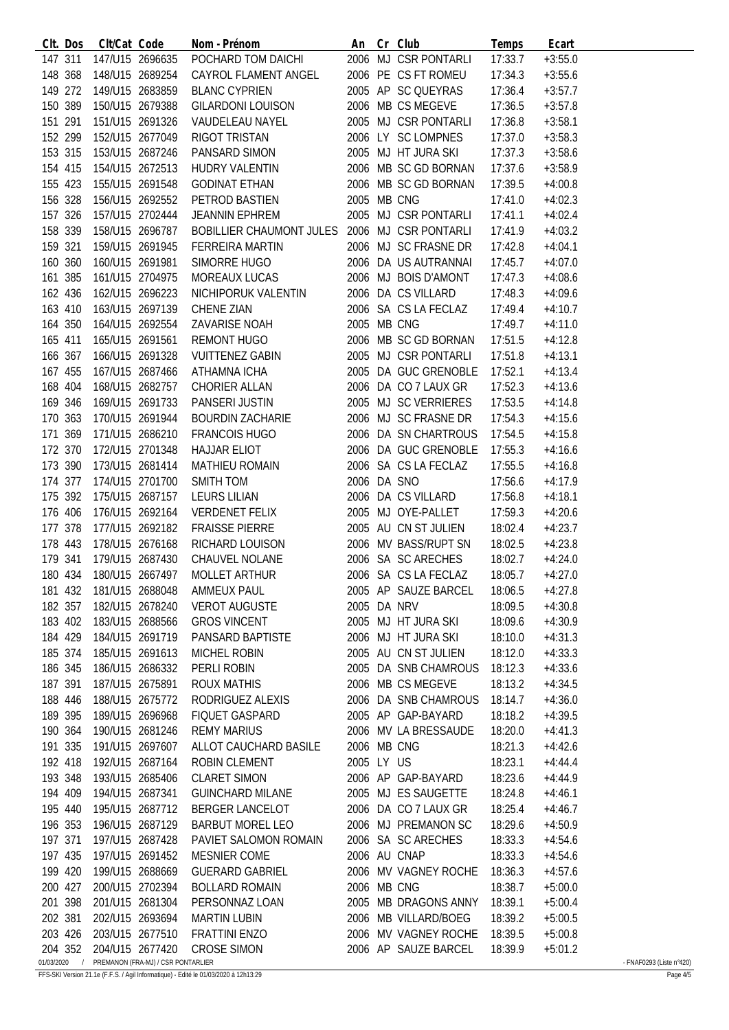|            | CIt. Dos | Clt/Cat Code    |                                    | Nom - Prénom                                            |             | An Cr Club                   | Temps   | Ecart     |                          |
|------------|----------|-----------------|------------------------------------|---------------------------------------------------------|-------------|------------------------------|---------|-----------|--------------------------|
|            | 147 311  |                 | 147/U15 2696635                    | POCHARD TOM DAICHI                                      |             | 2006 MJ CSR PONTARLI         | 17:33.7 | $+3:55.0$ |                          |
|            | 148 368  |                 | 148/U15 2689254                    | CAYROL FLAMENT ANGEL                                    |             | 2006 PE CS FT ROMEU          | 17:34.3 | $+3:55.6$ |                          |
|            | 149 272  | 149/U15 2683859 |                                    | <b>BLANC CYPRIEN</b>                                    |             | 2005 AP SC QUEYRAS           | 17:36.4 | $+3:57.7$ |                          |
|            | 150 389  |                 | 150/U15 2679388                    | <b>GILARDONI LOUISON</b>                                |             | 2006 MB CS MEGEVE            | 17:36.5 | $+3:57.8$ |                          |
| 151 291    |          |                 | 151/U15 2691326                    | VAUDELEAU NAYEL                                         |             | 2005 MJ CSR PONTARLI         | 17:36.8 | $+3:58.1$ |                          |
|            | 152 299  |                 | 152/U15 2677049                    | RIGOT TRISTAN                                           |             | 2006 LY SC LOMPNES           | 17:37.0 | $+3:58.3$ |                          |
|            | 153 315  |                 | 153/U15 2687246                    | PANSARD SIMON                                           |             | 2005 MJ HT JURA SKI          | 17:37.3 | $+3:58.6$ |                          |
|            | 154 415  |                 | 154/U15 2672513                    | HUDRY VALENTIN                                          |             | 2006 MB SC GD BORNAN         | 17:37.6 | $+3:58.9$ |                          |
|            | 155 423  | 155/U15 2691548 |                                    | GODINAT ETHAN                                           |             | 2006 MB SC GD BORNAN         | 17:39.5 | $+4:00.8$ |                          |
|            | 156 328  |                 | 156/U15 2692552                    | PETROD BASTIEN                                          | 2005 MB CNG |                              | 17:41.0 | $+4:02.3$ |                          |
|            | 157 326  |                 | 157/U15 2702444                    | <b>JEANNIN EPHREM</b>                                   |             | 2005 MJ CSR PONTARLI         | 17:41.1 | $+4:02.4$ |                          |
|            | 158 339  |                 | 158/U15 2696787                    | BOBILLIER CHAUMONT JULES 2006 MJ CSR PONTARLI           |             |                              | 17:41.9 | $+4:03.2$ |                          |
| 159 321    |          |                 | 159/U15 2691945                    | FERREIRA MARTIN                                         |             | 2006 MJ SC FRASNE DR         | 17:42.8 | $+4:04.1$ |                          |
|            | 160 360  |                 | 160/U15 2691981                    |                                                         |             | 2006 DA US AUTRANNAI         |         |           |                          |
|            |          |                 |                                    | SIMORRE HUGO                                            |             |                              | 17:45.7 | $+4:07.0$ |                          |
|            | 161 385  |                 | 161/U15 2704975                    | MOREAUX LUCAS                                           |             | 2006 MJ BOIS D'AMONT         | 17:47.3 | $+4:08.6$ |                          |
|            | 162 436  |                 | 162/U15 2696223                    | NICHIPORUK VALENTIN                                     |             | 2006 DA CS VILLARD           | 17:48.3 | $+4:09.6$ |                          |
|            | 163 410  | 163/U15 2697139 |                                    | CHENE ZIAN                                              |             | 2006 SA CS LA FECLAZ         | 17:49.4 | $+4:10.7$ |                          |
|            | 164 350  |                 | 164/U15 2692554                    | ZAVARISE NOAH                                           | 2005 MB CNG |                              | 17:49.7 | $+4:11.0$ |                          |
| 165 411    |          | 165/U15 2691561 |                                    | REMONT HUGO                                             |             | 2006 MB SC GD BORNAN         | 17:51.5 | $+4:12.8$ |                          |
|            | 166 367  |                 | 166/U15 2691328                    | <b>VUITTENEZ GABIN</b>                                  |             | 2005 MJ CSR PONTARLI         | 17:51.8 | $+4:13.1$ |                          |
|            | 167 455  |                 | 167/U15 2687466                    | ATHAMNA ICHA                                            |             | 2005 DA GUC GRENOBLE         | 17:52.1 | $+4:13.4$ |                          |
|            | 168 404  |                 | 168/U15 2682757                    | CHORIER ALLAN                                           |             | 2006 DA CO 7 LAUX GR         | 17:52.3 | $+4:13.6$ |                          |
|            | 169 346  |                 | 169/U15 2691733                    | PANSERI JUSTIN                                          |             | 2005 MJ SC VERRIERES         | 17:53.5 | $+4:14.8$ |                          |
|            | 170 363  |                 | 170/U15 2691944                    | <b>BOURDIN ZACHARIE</b>                                 |             | 2006 MJ SC FRASNE DR         | 17:54.3 | $+4:15.6$ |                          |
|            | 171 369  | 171/U15 2686210 |                                    | <b>FRANCOIS HUGO</b>                                    |             | 2006 DA SN CHARTROUS         | 17:54.5 | $+4:15.8$ |                          |
|            | 172 370  | 172/U15 2701348 |                                    | HAJJAR ELIOT                                            |             | 2006 DA GUC GRENOBLE         | 17:55.3 | $+4:16.6$ |                          |
|            | 173 390  |                 | 173/U15 2681414                    | MATHIEU ROMAIN                                          |             | 2006 SA CS LA FECLAZ         | 17:55.5 | $+4:16.8$ |                          |
| 174 377    |          |                 | 174/U15 2701700                    | SMITH TOM                                               | 2006 DA SNO |                              | 17:56.6 | $+4:17.9$ |                          |
|            | 175 392  |                 | 175/U15 2687157                    | LEURS LILIAN                                            |             | 2006 DA CS VILLARD           | 17:56.8 | $+4:18.1$ |                          |
|            | 176 406  |                 | 176/U15 2692164                    | VERDENET FELIX                                          |             | 2005 MJ OYE-PALLET           | 17:59.3 | $+4:20.6$ |                          |
|            | 177 378  |                 | 177/U15 2692182                    | <b>FRAISSE PIERRE</b>                                   |             | 2005 AU CN ST JULIEN         | 18:02.4 | $+4:23.7$ |                          |
| 178 443    |          | 178/U15 2676168 |                                    | RICHARD LOUISON                                         |             | 2006 MV BASS/RUPT SN         | 18:02.5 | $+4:23.8$ |                          |
| 179 341    |          |                 | 179/U15 2687430                    |                                                         |             | 2006 SA SC ARECHES           | 18:02.7 | $+4:24.0$ |                          |
| 180 434    |          | 180/U15 2667497 |                                    |                                                         |             | 2006 SA CS LA FECLAZ         | 18:05.7 | $+4:27.0$ |                          |
|            |          |                 |                                    | AND LEE IVOLAINE<br>181 432 181/U15 2688048 AMMEUX PAUL |             | 2005 AP SAUZE BARCEL 18:06.5 |         | $+4:27.8$ |                          |
| 182 357    |          |                 | 182/U15 2678240                    | <b>VEROT AUGUSTE</b>                                    | 2005 DA NRV |                              | 18:09.5 | $+4:30.8$ |                          |
|            |          |                 | 183/U15 2688566                    | <b>GROS VINCENT</b>                                     |             | 2005 MJ HT JURA SKI          |         | $+4:30.9$ |                          |
|            | 183 402  |                 |                                    |                                                         |             |                              | 18:09.6 |           |                          |
|            | 184 429  |                 | 184/U15 2691719                    | PANSARD BAPTISTE                                        |             | 2006 MJ HT JURA SKI          | 18:10.0 | $+4:31.3$ |                          |
|            | 185 374  |                 | 185/U15 2691613                    | MICHEL ROBIN                                            |             | 2005 AU CN ST JULIEN         | 18:12.0 | $+4:33.3$ |                          |
|            | 186 345  |                 | 186/U15 2686332                    | PERLI ROBIN                                             |             | 2005 DA SNB CHAMROUS         | 18:12.3 | $+4:33.6$ |                          |
|            | 187 391  | 187/U15 2675891 |                                    | <b>ROUX MATHIS</b>                                      |             | 2006 MB CS MEGEVE            | 18:13.2 | $+4:34.5$ |                          |
|            | 188 446  |                 | 188/U15 2675772                    | RODRIGUEZ ALEXIS                                        |             | 2006 DA SNB CHAMROUS         | 18:14.7 | $+4:36.0$ |                          |
|            | 189 395  |                 | 189/U15 2696968                    | <b>FIQUET GASPARD</b>                                   |             | 2005 AP GAP-BAYARD           | 18:18.2 | $+4:39.5$ |                          |
| 190 364    |          |                 | 190/U15 2681246                    | <b>REMY MARIUS</b>                                      |             | 2006 MV LA BRESSAUDE         | 18:20.0 | $+4:41.3$ |                          |
|            | 191 335  |                 | 191/U15 2697607                    | ALLOT CAUCHARD BASILE                                   | 2006 MB CNG |                              | 18:21.3 | $+4:42.6$ |                          |
|            | 192 418  |                 | 192/U15 2687164                    | ROBIN CLEMENT                                           | 2005 LY US  |                              | 18:23.1 | $+4:44.4$ |                          |
|            | 193 348  | 193/U15 2685406 |                                    | <b>CLARET SIMON</b>                                     |             | 2006 AP GAP-BAYARD           | 18:23.6 | $+4:44.9$ |                          |
|            | 194 409  | 194/U15 2687341 |                                    | <b>GUINCHARD MILANE</b>                                 |             | 2005 MJ ES SAUGETTE          | 18:24.8 | $+4:46.1$ |                          |
|            | 195 440  |                 | 195/U15 2687712                    | <b>BERGER LANCELOT</b>                                  |             | 2006 DA CO 7 LAUX GR         | 18:25.4 | $+4:46.7$ |                          |
|            | 196 353  |                 | 196/U15 2687129                    | <b>BARBUT MOREL LEO</b>                                 |             | 2006 MJ PREMANON SC          | 18:29.6 | $+4:50.9$ |                          |
| 197 371    |          |                 | 197/U15 2687428                    | PAVIET SALOMON ROMAIN                                   |             | 2006 SA SC ARECHES           | 18:33.3 | $+4:54.6$ |                          |
|            | 197 435  |                 | 197/U15 2691452                    | MESNIER COME                                            |             | 2006 AU CNAP                 | 18:33.3 | $+4:54.6$ |                          |
|            | 199 420  |                 | 199/U15 2688669                    | <b>GUERARD GABRIEL</b>                                  |             | 2006 MV VAGNEY ROCHE         | 18:36.3 | $+4:57.6$ |                          |
| 200 427    |          |                 | 200/U15 2702394                    | <b>BOLLARD ROMAIN</b>                                   | 2006 MB CNG |                              | 18:38.7 | $+5:00.0$ |                          |
|            | 201 398  |                 | 201/U15 2681304                    | PERSONNAZ LOAN                                          |             | 2005 MB DRAGONS ANNY         | 18:39.1 | $+5:00.4$ |                          |
| 202 381    |          |                 | 202/U15 2693694                    | <b>MARTIN LUBIN</b>                                     |             | 2006 MB VILLARD/BOEG         | 18:39.2 | $+5:00.5$ |                          |
|            | 203 426  |                 | 203/U15 2677510                    | <b>FRATTINI ENZO</b>                                    |             | 2006 MV VAGNEY ROCHE         | 18:39.5 | $+5:00.8$ |                          |
|            | 204 352  |                 | 204/U15 2677420                    | <b>CROSE SIMON</b>                                      |             | 2006 AP SAUZE BARCEL         | 18:39.9 | $+5:01.2$ |                          |
| 01/03/2020 |          |                 | PREMANON (FRA-MJ) / CSR PONTARLIER |                                                         |             |                              |         |           | - FNAF0293 (Liste n°420) |

FFS-SKI Version 21.1e (F.F.S. / Agil Informatique) - Edité le 01/03/2020 à 12h13:29 Page 4/5